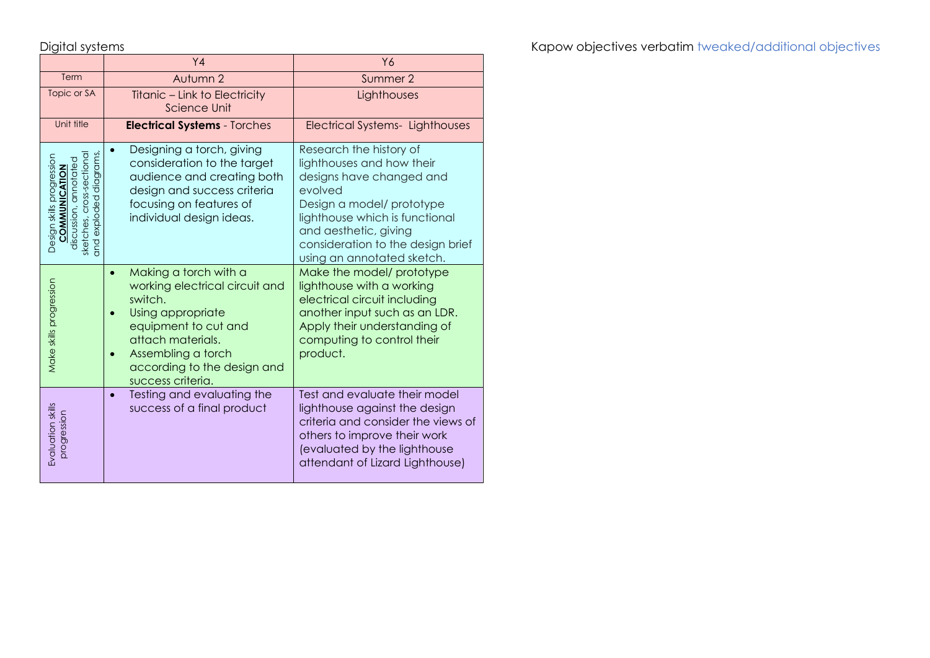|                                                                                                                                      | Y <sub>4</sub>                                                                                                                                                                                                              | Y6                                                                                                                                                                                                                                                     |
|--------------------------------------------------------------------------------------------------------------------------------------|-----------------------------------------------------------------------------------------------------------------------------------------------------------------------------------------------------------------------------|--------------------------------------------------------------------------------------------------------------------------------------------------------------------------------------------------------------------------------------------------------|
| Term                                                                                                                                 | Autumn 2                                                                                                                                                                                                                    | Summer 2                                                                                                                                                                                                                                               |
| Topic or SA                                                                                                                          | Titanic – Link to Electricity<br><b>Science Unit</b>                                                                                                                                                                        | Lighthouses                                                                                                                                                                                                                                            |
| Unit title                                                                                                                           | <b>Electrical Systems - Torches</b>                                                                                                                                                                                         | <b>Electrical Systems- Lighthouses</b>                                                                                                                                                                                                                 |
| diagrams<br>cross-sectiona<br>Design skills progression<br>annotated<br>COMMUNICATION<br>exploded<br>discussion,<br>sketches,<br>and | Designing a torch, giving<br>$\bullet$<br>consideration to the target<br>audience and creating both<br>design and success criteria<br>focusing on features of<br>individual design ideas.                                   | Research the history of<br>lighthouses and how their<br>designs have changed and<br>evolved<br>Design a model/ prototype<br>lighthouse which is functional<br>and aesthetic, giving<br>consideration to the design brief<br>using an annotated sketch. |
| Make skills progression                                                                                                              | Making a torch with a<br>$\bullet$<br>working electrical circuit and<br>switch.<br>Using appropriate<br>equipment to cut and<br>attach materials.<br>Assembling a torch<br>according to the design and<br>success criteria. | Make the model/ prototype<br>lighthouse with a working<br>electrical circuit including<br>another input such as an LDR.<br>Apply their understanding of<br>computing to control their<br>product.                                                      |
| Evaluation skills<br>progression                                                                                                     | Testing and evaluating the<br>$\bullet$<br>success of a final product                                                                                                                                                       | Test and evaluate their model<br>lighthouse against the design<br>criteria and consider the views of<br>others to improve their work<br>(evaluated by the lighthouse<br>attendant of Lizard Lighthouse)                                                |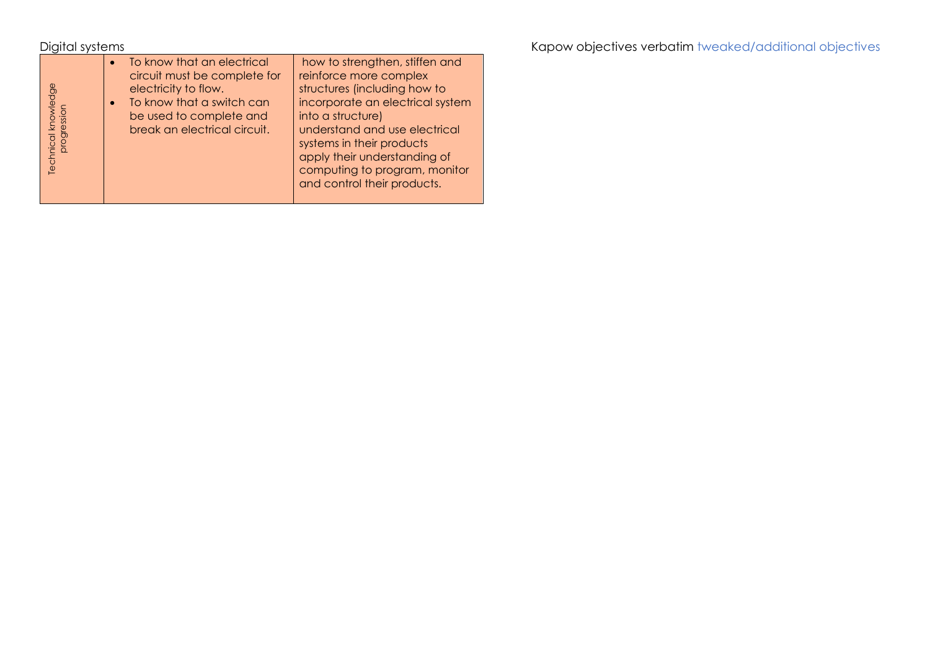Digital systems **Kapow objectives verbatim** tweaked/additional objectives verbatim tweaked/additional objectives

| Technical knowledge<br>progression | To know that an electrical<br>circuit must be complete for<br>electricity to flow.<br>To know that a switch can<br>be used to complete and<br>break an electrical circuit. | how to strengthen, stiffen and<br>reinforce more complex<br>structures (including how to<br>incorporate an electrical system<br>into a structure)<br>understand and use electrical<br>systems in their products<br>apply their understanding of<br>computing to program, monitor<br>and control their products. |
|------------------------------------|----------------------------------------------------------------------------------------------------------------------------------------------------------------------------|-----------------------------------------------------------------------------------------------------------------------------------------------------------------------------------------------------------------------------------------------------------------------------------------------------------------|
|------------------------------------|----------------------------------------------------------------------------------------------------------------------------------------------------------------------------|-----------------------------------------------------------------------------------------------------------------------------------------------------------------------------------------------------------------------------------------------------------------------------------------------------------------|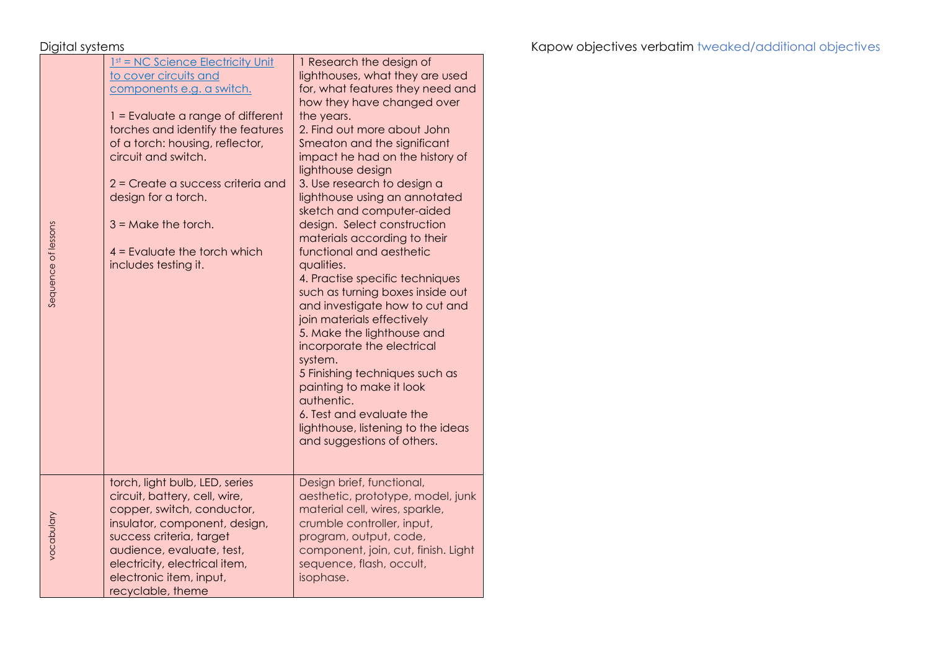Sequence of lessons

Sequence of lessons

vocabulary

| 1 Research the design of<br>lighthouses, what they are used<br>for, what features they need and<br>how they have changed over<br>the years.<br>2. Find out more about John<br>Smeaton and the significant<br>impact he had on the history of<br>lighthouse design<br>3. Use research to design a<br>lighthouse using an annotated<br>sketch and computer-aided<br>design. Select construction<br>materials according to their<br>functional and aesthetic<br>qualities.<br>4. Practise specific techniques<br>such as turning boxes inside out<br>and investigate how to cut and<br>join materials effectively<br>5. Make the lighthouse and |
|----------------------------------------------------------------------------------------------------------------------------------------------------------------------------------------------------------------------------------------------------------------------------------------------------------------------------------------------------------------------------------------------------------------------------------------------------------------------------------------------------------------------------------------------------------------------------------------------------------------------------------------------|
| incorporate the electrical<br>5 Finishing techniques such as<br>painting to make it look<br>authentic.<br>6. Test and evaluate the<br>lighthouse, listening to the ideas<br>and suggestions of others.                                                                                                                                                                                                                                                                                                                                                                                                                                       |
| Design brief, functional,<br>aesthetic, prototype, model, junk<br>material cell, wires, sparkle,<br>crumble controller, input,<br>program, output, code,<br>component, join, cut, finish. Light<br>sequence, flash, occult,<br>isophase.                                                                                                                                                                                                                                                                                                                                                                                                     |
|                                                                                                                                                                                                                                                                                                                                                                                                                                                                                                                                                                                                                                              |

Digital systems **Kapow objectives verbatim** tweaked/additional objectives verbatim tweaked/additional objectives